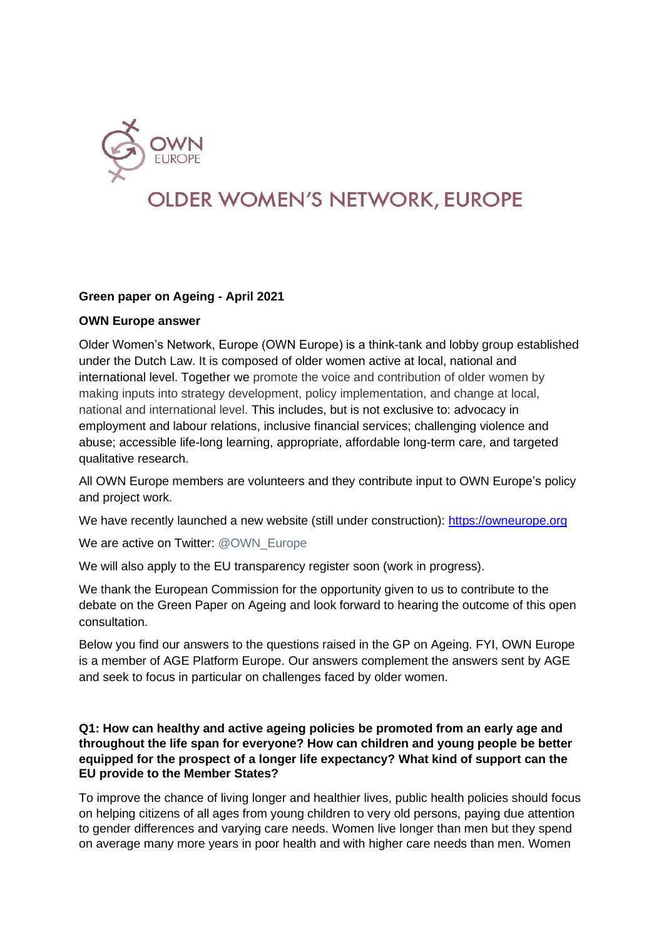

# **OLDER WOMEN'S NETWORK, EUROPE**

## **Green paper on Ageing - April 2021**

#### **OWN Europe answer**

Older Women's Network, Europe (OWN Europe) is a think-tank and lobby group established under the Dutch Law. It is composed of older women active at local, national and international level. Together we promote the voice and contribution of older women by making inputs into strategy development, policy implementation, and change at local, national and international level. This includes, but is not exclusive to: advocacy in employment and labour relations, inclusive financial services; challenging violence and abuse; accessible life-long learning, appropriate, affordable long-term care, and targeted qualitative research.

All OWN Europe members are volunteers and they contribute input to OWN Europe's policy and project work.

We have recently launched a new website (still under construction): [https://owneurope.org](https://owneurope.org/)

We are active on Twitter: @OWN\_Europe

We will also apply to the EU transparency register soon (work in progress).

We thank the European Commission for the opportunity given to us to contribute to the debate on the Green Paper on Ageing and look forward to hearing the outcome of this open consultation.

Below you find our answers to the questions raised in the GP on Ageing. FYI, OWN Europe is a member of AGE Platform Europe. Our answers complement the answers sent by AGE and seek to focus in particular on challenges faced by older women.

### **Q1: How can healthy and active ageing policies be promoted from an early age and throughout the life span for everyone? How can children and young people be better equipped for the prospect of a longer life expectancy? What kind of support can the EU provide to the Member States?**

To improve the chance of living longer and healthier lives, public health policies should focus on helping citizens of all ages from young children to very old persons, paying due attention to gender differences and varying care needs. Women live longer than men but they spend on average many more years in poor health and with higher care needs than men. Women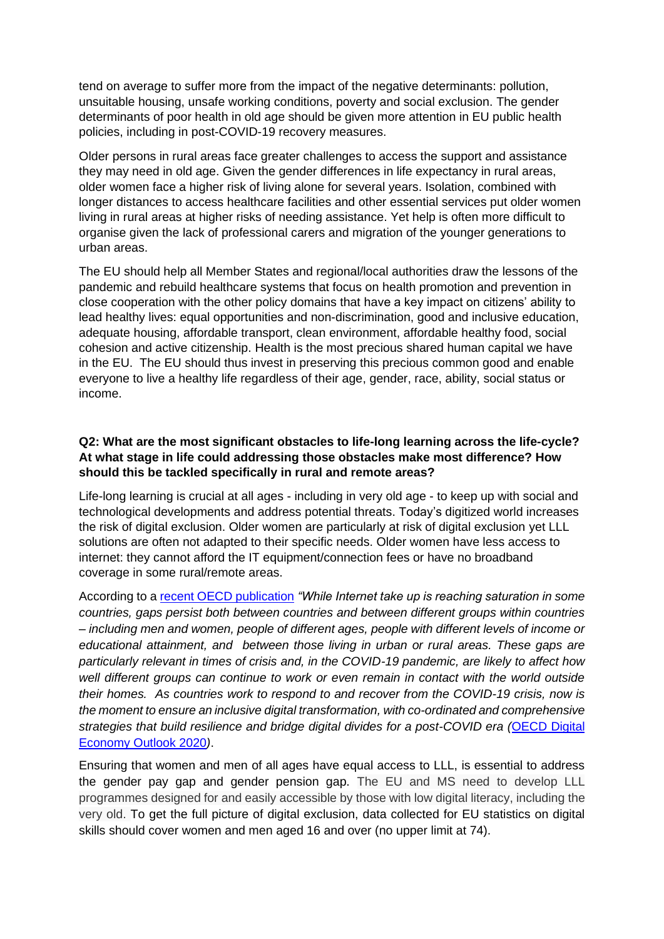tend on average to suffer more from the impact of the negative determinants: pollution, unsuitable housing, unsafe working conditions, poverty and social exclusion. The gender determinants of poor health in old age should be given more attention in EU public health policies, including in post-COVID-19 recovery measures.

Older persons in rural areas face greater challenges to access the support and assistance they may need in old age. Given the gender differences in life expectancy in rural areas, older women face a higher risk of living alone for several years. Isolation, combined with longer distances to access healthcare facilities and other essential services put older women living in rural areas at higher risks of needing assistance. Yet help is often more difficult to organise given the lack of professional carers and migration of the younger generations to urban areas.

The EU should help all Member States and regional/local authorities draw the lessons of the pandemic and rebuild healthcare systems that focus on health promotion and prevention in close cooperation with the other policy domains that have a key impact on citizens' ability to lead healthy lives: equal opportunities and non-discrimination, good and inclusive education, adequate housing, affordable transport, clean environment, affordable healthy food, social cohesion and active citizenship. Health is the most precious shared human capital we have in the EU. The EU should thus invest in preserving this precious common good and enable everyone to live a healthy life regardless of their age, gender, race, ability, social status or income.

## **Q2: What are the most significant obstacles to life-long learning across the life-cycle? At what stage in life could addressing those obstacles make most difference? How should this be tackled specifically in rural and remote areas?**

Life-long learning is crucial at all ages - including in very old age - to keep up with social and technological developments and address potential threats. Today's digitized world increases the risk of digital exclusion. Older women are particularly at risk of digital exclusion yet LLL solutions are often not adapted to their specific needs. Older women have less access to internet: they cannot afford the IT equipment/connection fees or have no broadband coverage in some rural/remote areas.

According to a [recent OECD publication](https://www.oecd.org/publications/measuring-the-digital-transformation-9789264311992-en.htm) *"While Internet take up is reaching saturation in some countries, gaps persist both between countries and between different groups within countries – including men and women, people of different ages, people with different levels of income or educational attainment, and between those living in urban or rural areas. These gaps are particularly relevant in times of crisis and, in the COVID-19 pandemic, are likely to affect how well different groups can continue to work or even remain in contact with the world outside their homes. As countries work to respond to and recover from the COVID-19 crisis, now is the moment to ensure an inclusive digital transformation, with co-ordinated and comprehensive strategies that build resilience and bridge digital divides for a post-COVID era (*[OECD Digital](https://www.oecd.org/digital/oecd-digital-economy-outlook-2020-bb167041-en.htm)  [Economy Outlook 2020](https://www.oecd.org/digital/oecd-digital-economy-outlook-2020-bb167041-en.htm)*)*.

Ensuring that women and men of all ages have equal access to LLL, is essential to address the gender pay gap and gender pension gap. The EU and MS need to develop LLL programmes designed for and easily accessible by those with low digital literacy, including the very old. To get the full picture of digital exclusion, data collected for EU statistics on digital skills should cover women and men aged 16 and over (no upper limit at 74).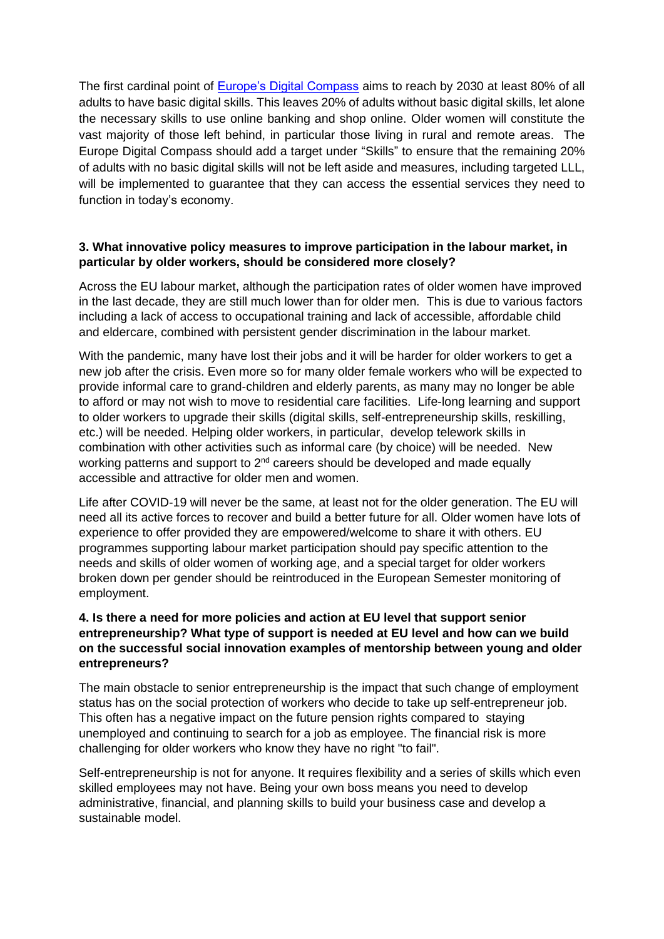The first cardinal point of **Europe's Digital Compass** aims to reach by 2030 at least 80% of all adults to have basic digital skills. This leaves 20% of adults without basic digital skills, let alone the necessary skills to use online banking and shop online. Older women will constitute the vast majority of those left behind, in particular those living in rural and remote areas. The Europe Digital Compass should add a target under "Skills" to ensure that the remaining 20% of adults with no basic digital skills will not be left aside and measures, including targeted LLL, will be implemented to guarantee that they can access the essential services they need to function in today's economy.

### **3. What innovative policy measures to improve participation in the labour market, in particular by older workers, should be considered more closely?**

Across the EU labour market, although the participation rates of older women have improved in the last decade, they are still much lower than for older men. This is due to various factors including a lack of access to occupational training and lack of accessible, affordable child and eldercare, combined with persistent gender discrimination in the labour market.

With the pandemic, many have lost their jobs and it will be harder for older workers to get a new job after the crisis. Even more so for many older female workers who will be expected to provide informal care to grand-children and elderly parents, as many may no longer be able to afford or may not wish to move to residential care facilities. Life-long learning and support to older workers to upgrade their skills (digital skills, self-entrepreneurship skills, reskilling, etc.) will be needed. Helping older workers, in particular, develop telework skills in combination with other activities such as informal care (by choice) will be needed. New working patterns and support to  $2<sup>nd</sup>$  careers should be developed and made equally accessible and attractive for older men and women.

Life after COVID-19 will never be the same, at least not for the older generation. The EU will need all its active forces to recover and build a better future for all. Older women have lots of experience to offer provided they are empowered/welcome to share it with others. EU programmes supporting labour market participation should pay specific attention to the needs and skills of older women of working age, and a special target for older workers broken down per gender should be reintroduced in the European Semester monitoring of employment.

### **4. Is there a need for more policies and action at EU level that support senior entrepreneurship? What type of support is needed at EU level and how can we build on the successful social innovation examples of mentorship between young and older entrepreneurs?**

The main obstacle to senior entrepreneurship is the impact that such change of employment status has on the social protection of workers who decide to take up self-entrepreneur job. This often has a negative impact on the future pension rights compared to staying unemployed and continuing to search for a job as employee. The financial risk is more challenging for older workers who know they have no right "to fail".

Self-entrepreneurship is not for anyone. It requires flexibility and a series of skills which even skilled employees may not have. Being your own boss means you need to develop administrative, financial, and planning skills to build your business case and develop a sustainable model.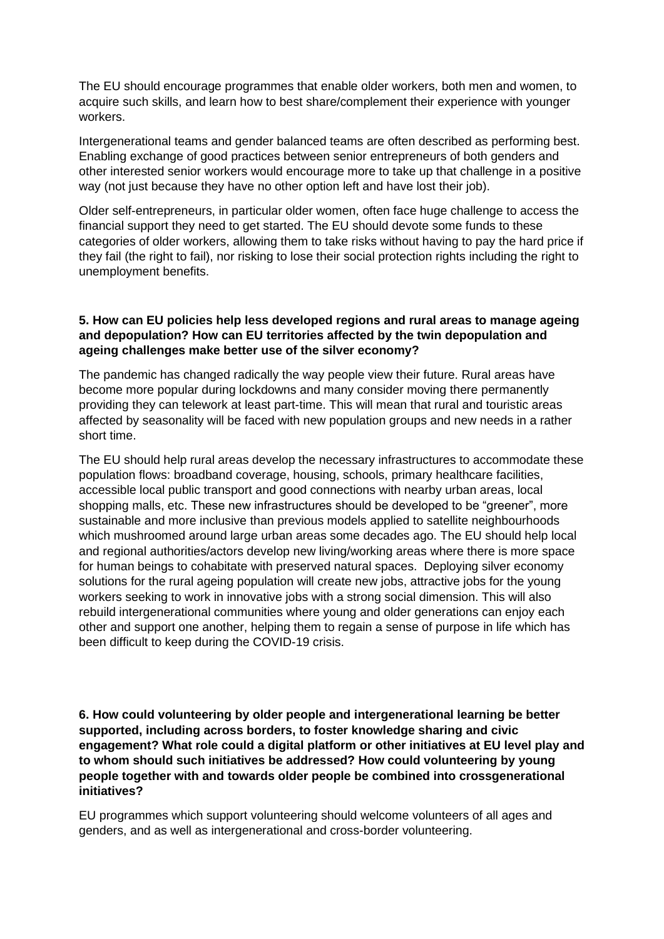The EU should encourage programmes that enable older workers, both men and women, to acquire such skills, and learn how to best share/complement their experience with younger workers.

Intergenerational teams and gender balanced teams are often described as performing best. Enabling exchange of good practices between senior entrepreneurs of both genders and other interested senior workers would encourage more to take up that challenge in a positive way (not just because they have no other option left and have lost their job).

Older self-entrepreneurs, in particular older women, often face huge challenge to access the financial support they need to get started. The EU should devote some funds to these categories of older workers, allowing them to take risks without having to pay the hard price if they fail (the right to fail), nor risking to lose their social protection rights including the right to unemployment benefits.

### **5. How can EU policies help less developed regions and rural areas to manage ageing and depopulation? How can EU territories affected by the twin depopulation and ageing challenges make better use of the silver economy?**

The pandemic has changed radically the way people view their future. Rural areas have become more popular during lockdowns and many consider moving there permanently providing they can telework at least part-time. This will mean that rural and touristic areas affected by seasonality will be faced with new population groups and new needs in a rather short time.

The EU should help rural areas develop the necessary infrastructures to accommodate these population flows: broadband coverage, housing, schools, primary healthcare facilities, accessible local public transport and good connections with nearby urban areas, local shopping malls, etc. These new infrastructures should be developed to be "greener", more sustainable and more inclusive than previous models applied to satellite neighbourhoods which mushroomed around large urban areas some decades ago. The EU should help local and regional authorities/actors develop new living/working areas where there is more space for human beings to cohabitate with preserved natural spaces. Deploying silver economy solutions for the rural ageing population will create new jobs, attractive jobs for the young workers seeking to work in innovative jobs with a strong social dimension. This will also rebuild intergenerational communities where young and older generations can enjoy each other and support one another, helping them to regain a sense of purpose in life which has been difficult to keep during the COVID-19 crisis.

## **6. How could volunteering by older people and intergenerational learning be better supported, including across borders, to foster knowledge sharing and civic engagement? What role could a digital platform or other initiatives at EU level play and to whom should such initiatives be addressed? How could volunteering by young people together with and towards older people be combined into crossgenerational initiatives?**

EU programmes which support volunteering should welcome volunteers of all ages and genders, and as well as intergenerational and cross-border volunteering.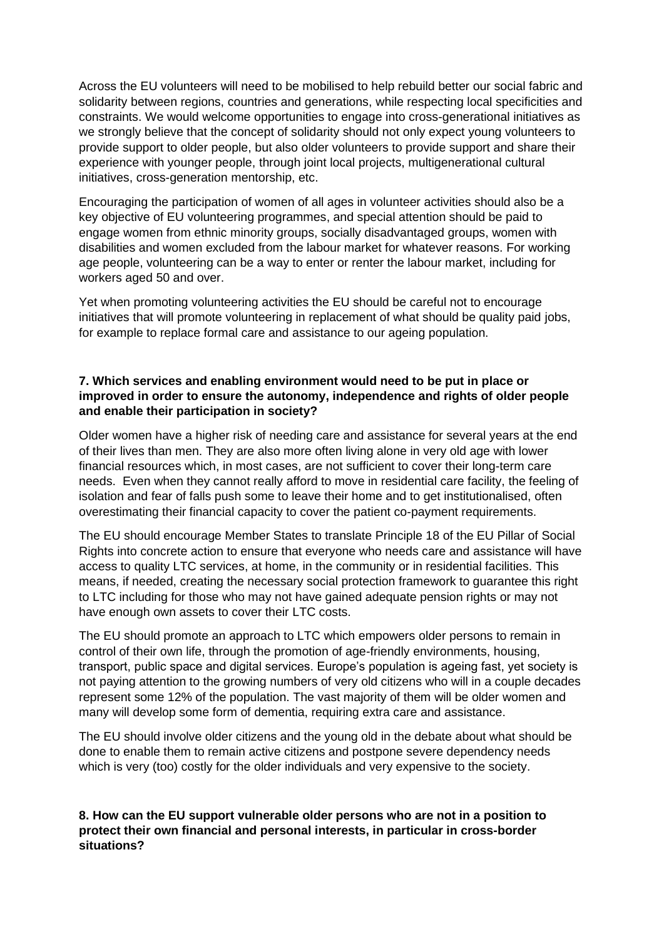Across the EU volunteers will need to be mobilised to help rebuild better our social fabric and solidarity between regions, countries and generations, while respecting local specificities and constraints. We would welcome opportunities to engage into cross-generational initiatives as we strongly believe that the concept of solidarity should not only expect young volunteers to provide support to older people, but also older volunteers to provide support and share their experience with younger people, through joint local projects, multigenerational cultural initiatives, cross-generation mentorship, etc.

Encouraging the participation of women of all ages in volunteer activities should also be a key objective of EU volunteering programmes, and special attention should be paid to engage women from ethnic minority groups, socially disadvantaged groups, women with disabilities and women excluded from the labour market for whatever reasons. For working age people, volunteering can be a way to enter or renter the labour market, including for workers aged 50 and over.

Yet when promoting volunteering activities the EU should be careful not to encourage initiatives that will promote volunteering in replacement of what should be quality paid jobs, for example to replace formal care and assistance to our ageing population.

### **7. Which services and enabling environment would need to be put in place or improved in order to ensure the autonomy, independence and rights of older people and enable their participation in society?**

Older women have a higher risk of needing care and assistance for several years at the end of their lives than men. They are also more often living alone in very old age with lower financial resources which, in most cases, are not sufficient to cover their long-term care needs. Even when they cannot really afford to move in residential care facility, the feeling of isolation and fear of falls push some to leave their home and to get institutionalised, often overestimating their financial capacity to cover the patient co-payment requirements.

The EU should encourage Member States to translate Principle 18 of the EU Pillar of Social Rights into concrete action to ensure that everyone who needs care and assistance will have access to quality LTC services, at home, in the community or in residential facilities. This means, if needed, creating the necessary social protection framework to guarantee this right to LTC including for those who may not have gained adequate pension rights or may not have enough own assets to cover their LTC costs.

The EU should promote an approach to LTC which empowers older persons to remain in control of their own life, through the promotion of age-friendly environments, housing, transport, public space and digital services. Europe's population is ageing fast, yet society is not paying attention to the growing numbers of very old citizens who will in a couple decades represent some 12% of the population. The vast majority of them will be older women and many will develop some form of dementia, requiring extra care and assistance.

The EU should involve older citizens and the young old in the debate about what should be done to enable them to remain active citizens and postpone severe dependency needs which is very (too) costly for the older individuals and very expensive to the society.

## **8. How can the EU support vulnerable older persons who are not in a position to protect their own financial and personal interests, in particular in cross-border situations?**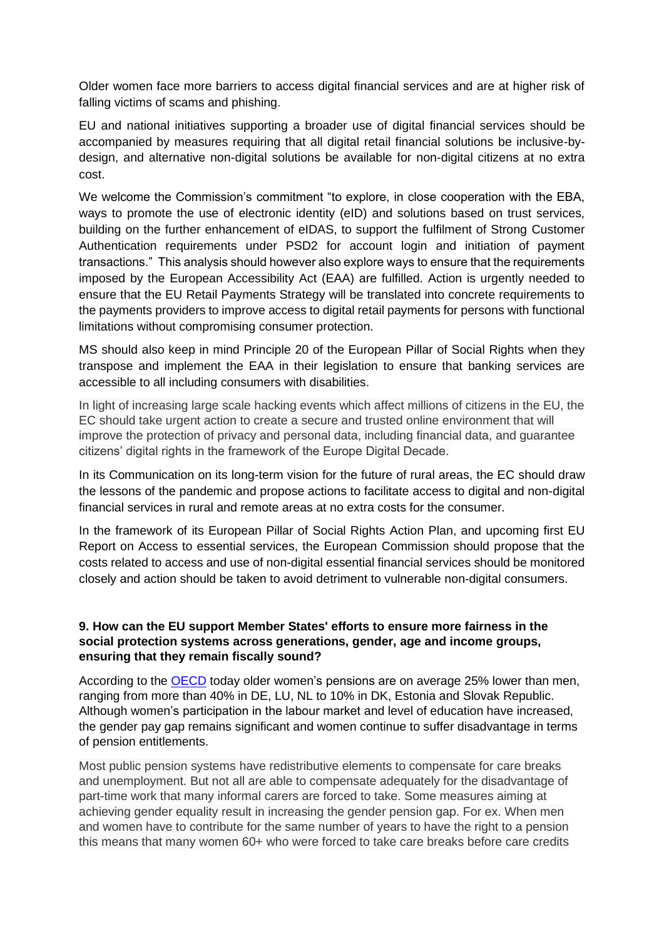Older women face more barriers to access digital financial services and are at higher risk of falling victims of scams and phishing.

EU and national initiatives supporting a broader use of digital financial services should be accompanied by measures requiring that all digital retail financial solutions be inclusive-bydesign, and alternative non-digital solutions be available for non-digital citizens at no extra cost.

We welcome the Commission's commitment "to explore, in close cooperation with the EBA, ways to promote the use of electronic identity (eID) and solutions based on trust services, building on the further enhancement of eIDAS, to support the fulfilment of Strong Customer Authentication requirements under PSD2 for account login and initiation of payment transactions." This analysis should however also explore ways to ensure that the requirements imposed by the European Accessibility Act (EAA) are fulfilled. Action is urgently needed to ensure that the EU Retail Payments Strategy will be translated into concrete requirements to the payments providers to improve access to digital retail payments for persons with functional limitations without compromising consumer protection.

MS should also keep in mind Principle 20 of the European Pillar of Social Rights when they transpose and implement the EAA in their legislation to ensure that banking services are accessible to all including consumers with disabilities.

In light of increasing large scale hacking events which affect millions of citizens in the EU, the EC should take urgent action to create a secure and trusted online environment that will improve the protection of privacy and personal data, including financial data, and guarantee citizens' digital rights in the framework of the Europe Digital Decade.

In its Communication on its long-term vision for the future of rural areas, the EC should draw the lessons of the pandemic and propose actions to facilitate access to digital and non-digital financial services in rural and remote areas at no extra costs for the consumer.

In the framework of its European Pillar of Social Rights Action Plan, and upcoming first EU Report on Access to essential services, the European Commission should propose that the costs related to access and use of non-digital essential financial services should be monitored closely and action should be taken to avoid detriment to vulnerable non-digital consumers.

### **9. How can the EU support Member States' efforts to ensure more fairness in the social protection systems across generations, gender, age and income groups, ensuring that they remain fiscally sound?**

According to the [OECD](https://www.oecd.org/gender/data/wide-gap-in-pension-benefits-between-men-and-women.htm) today older women's pensions are on average 25% lower than men, ranging from more than 40% in DE, LU, NL to 10% in DK, Estonia and Slovak Republic. Although women's participation in the labour market and level of education have increased, the gender pay gap remains significant and women continue to suffer disadvantage in terms of pension entitlements.

Most public pension systems have redistributive elements to compensate for care breaks and unemployment. But not all are able to compensate adequately for the disadvantage of part-time work that many informal carers are forced to take. Some measures aiming at achieving gender equality result in increasing the gender pension gap. For ex. When men and women have to contribute for the same number of years to have the right to a pension this means that many women 60+ who were forced to take care breaks before care credits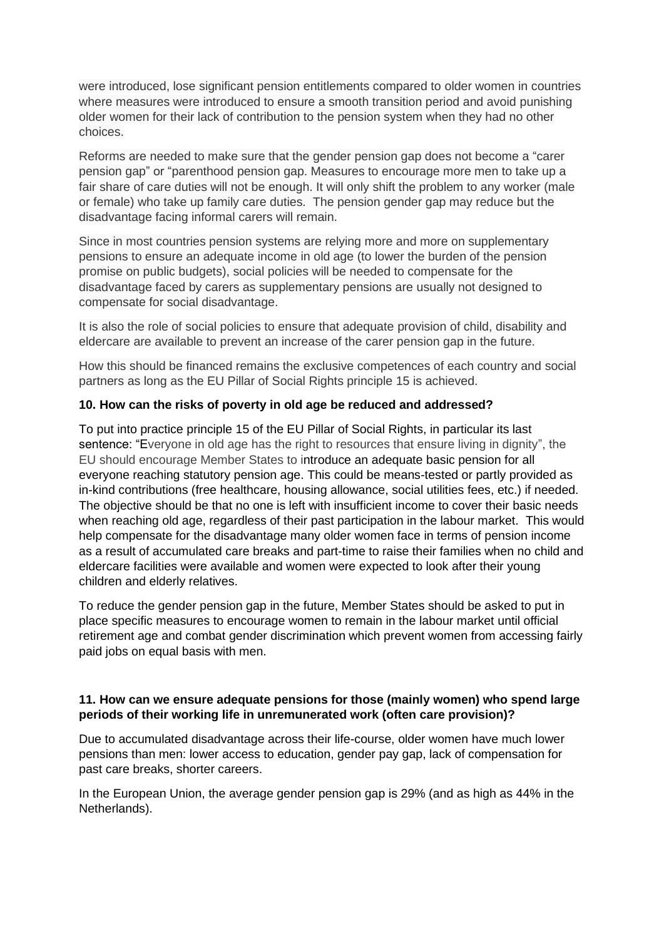were introduced, lose significant pension entitlements compared to older women in countries where measures were introduced to ensure a smooth transition period and avoid punishing older women for their lack of contribution to the pension system when they had no other choices.

Reforms are needed to make sure that the gender pension gap does not become a "carer pension gap" or "parenthood pension gap. Measures to encourage more men to take up a fair share of care duties will not be enough. It will only shift the problem to any worker (male or female) who take up family care duties. The pension gender gap may reduce but the disadvantage facing informal carers will remain.

Since in most countries pension systems are relying more and more on supplementary pensions to ensure an adequate income in old age (to lower the burden of the pension promise on public budgets), social policies will be needed to compensate for the disadvantage faced by carers as supplementary pensions are usually not designed to compensate for social disadvantage.

It is also the role of social policies to ensure that adequate provision of child, disability and eldercare are available to prevent an increase of the carer pension gap in the future.

How this should be financed remains the exclusive competences of each country and social partners as long as the EU Pillar of Social Rights principle 15 is achieved.

## **10. How can the risks of poverty in old age be reduced and addressed?**

To put into practice principle 15 of the EU Pillar of Social Rights, in particular its last sentence: "Everyone in old age has the right to resources that ensure living in dignity", the EU should encourage Member States to introduce an adequate basic pension for all everyone reaching statutory pension age. This could be means-tested or partly provided as in-kind contributions (free healthcare, housing allowance, social utilities fees, etc.) if needed. The objective should be that no one is left with insufficient income to cover their basic needs when reaching old age, regardless of their past participation in the labour market. This would help compensate for the disadvantage many older women face in terms of pension income as a result of accumulated care breaks and part-time to raise their families when no child and eldercare facilities were available and women were expected to look after their young children and elderly relatives.

To reduce the gender pension gap in the future, Member States should be asked to put in place specific measures to encourage women to remain in the labour market until official retirement age and combat gender discrimination which prevent women from accessing fairly paid jobs on equal basis with men.

#### **11. How can we ensure adequate pensions for those (mainly women) who spend large periods of their working life in unremunerated work (often care provision)?**

Due to accumulated disadvantage across their life-course, older women have much lower pensions than men: lower access to education, gender pay gap, lack of compensation for past care breaks, shorter careers.

In the European Union, the average gender pension gap is 29% (and as high as 44% in the Netherlands).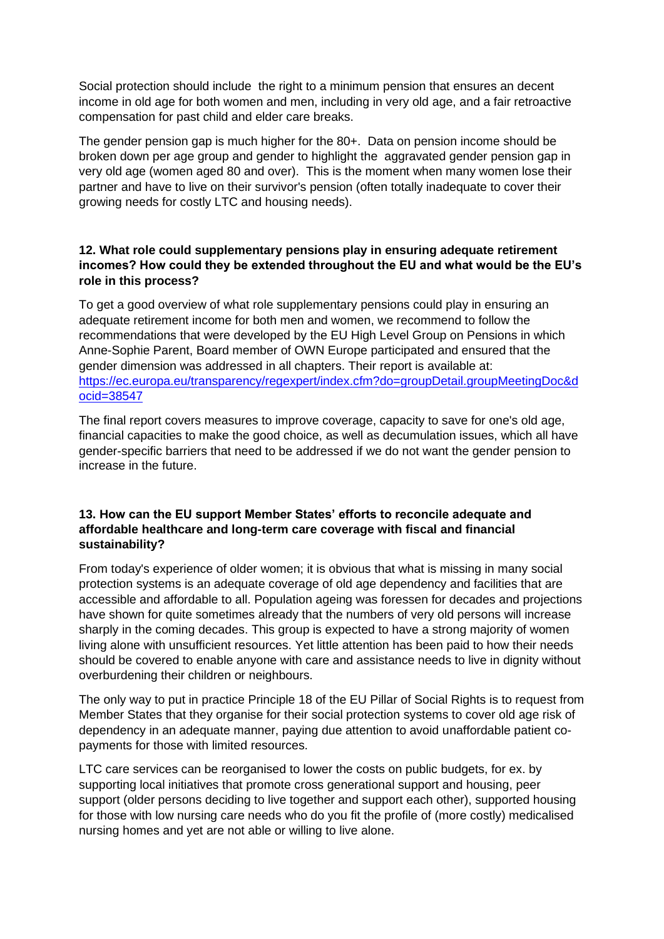Social protection should include the right to a minimum pension that ensures an decent income in old age for both women and men, including in very old age, and a fair retroactive compensation for past child and elder care breaks.

The gender pension gap is much higher for the 80+. Data on pension income should be broken down per age group and gender to highlight the aggravated gender pension gap in very old age (women aged 80 and over). This is the moment when many women lose their partner and have to live on their survivor's pension (often totally inadequate to cover their growing needs for costly LTC and housing needs).

## **12. What role could supplementary pensions play in ensuring adequate retirement incomes? How could they be extended throughout the EU and what would be the EU's role in this process?**

To get a good overview of what role supplementary pensions could play in ensuring an adequate retirement income for both men and women, we recommend to follow the recommendations that were developed by the EU High Level Group on Pensions in which Anne-Sophie Parent, Board member of OWN Europe participated and ensured that the gender dimension was addressed in all chapters. Their report is available at: [https://ec.europa.eu/transparency/regexpert/index.cfm?do=groupDetail.groupMeetingDoc&d](https://ec.europa.eu/transparency/regexpert/index.cfm?do=groupDetail.groupMeetingDoc&docid=38547) [ocid=38547](https://ec.europa.eu/transparency/regexpert/index.cfm?do=groupDetail.groupMeetingDoc&docid=38547)

The final report covers measures to improve coverage, capacity to save for one's old age, financial capacities to make the good choice, as well as decumulation issues, which all have gender-specific barriers that need to be addressed if we do not want the gender pension to increase in the future.

## **13. How can the EU support Member States' efforts to reconcile adequate and affordable healthcare and long-term care coverage with fiscal and financial sustainability?**

From today's experience of older women; it is obvious that what is missing in many social protection systems is an adequate coverage of old age dependency and facilities that are accessible and affordable to all. Population ageing was foressen for decades and projections have shown for quite sometimes already that the numbers of very old persons will increase sharply in the coming decades. This group is expected to have a strong majority of women living alone with unsufficient resources. Yet little attention has been paid to how their needs should be covered to enable anyone with care and assistance needs to live in dignity without overburdening their children or neighbours.

The only way to put in practice Principle 18 of the EU Pillar of Social Rights is to request from Member States that they organise for their social protection systems to cover old age risk of dependency in an adequate manner, paying due attention to avoid unaffordable patient copayments for those with limited resources.

LTC care services can be reorganised to lower the costs on public budgets, for ex. by supporting local initiatives that promote cross generational support and housing, peer support (older persons deciding to live together and support each other), supported housing for those with low nursing care needs who do you fit the profile of (more costly) medicalised nursing homes and yet are not able or willing to live alone.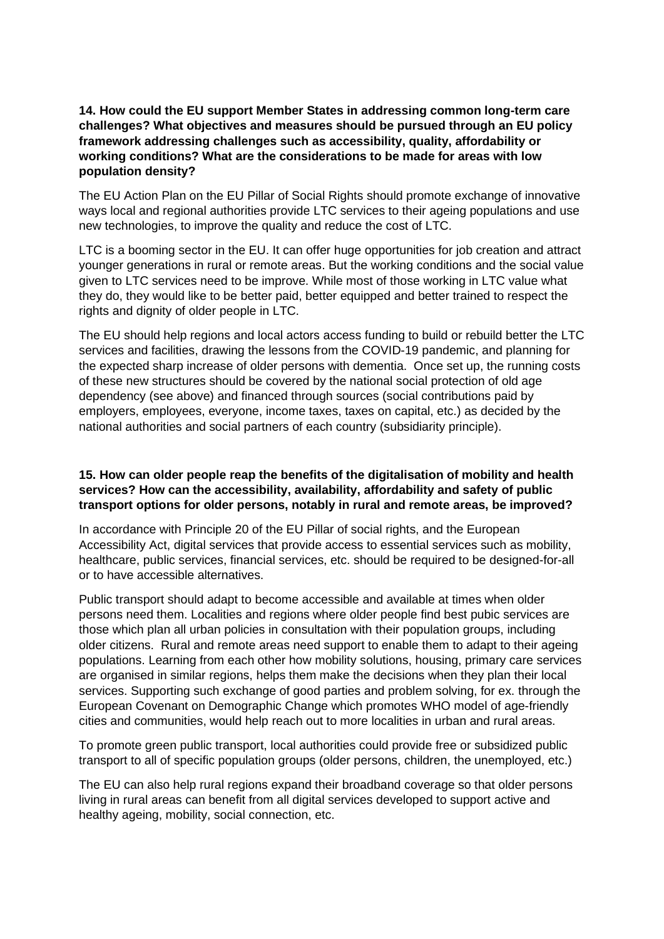## **14. How could the EU support Member States in addressing common long-term care challenges? What objectives and measures should be pursued through an EU policy framework addressing challenges such as accessibility, quality, affordability or working conditions? What are the considerations to be made for areas with low population density?**

The EU Action Plan on the EU Pillar of Social Rights should promote exchange of innovative ways local and regional authorities provide LTC services to their ageing populations and use new technologies, to improve the quality and reduce the cost of LTC.

LTC is a booming sector in the EU. It can offer huge opportunities for job creation and attract younger generations in rural or remote areas. But the working conditions and the social value given to LTC services need to be improve. While most of those working in LTC value what they do, they would like to be better paid, better equipped and better trained to respect the rights and dignity of older people in LTC.

The EU should help regions and local actors access funding to build or rebuild better the LTC services and facilities, drawing the lessons from the COVID-19 pandemic, and planning for the expected sharp increase of older persons with dementia. Once set up, the running costs of these new structures should be covered by the national social protection of old age dependency (see above) and financed through sources (social contributions paid by employers, employees, everyone, income taxes, taxes on capital, etc.) as decided by the national authorities and social partners of each country (subsidiarity principle).

#### **15. How can older people reap the benefits of the digitalisation of mobility and health services? How can the accessibility, availability, affordability and safety of public transport options for older persons, notably in rural and remote areas, be improved?**

In accordance with Principle 20 of the EU Pillar of social rights, and the European Accessibility Act, digital services that provide access to essential services such as mobility, healthcare, public services, financial services, etc. should be required to be designed-for-all or to have accessible alternatives.

Public transport should adapt to become accessible and available at times when older persons need them. Localities and regions where older people find best pubic services are those which plan all urban policies in consultation with their population groups, including older citizens. Rural and remote areas need support to enable them to adapt to their ageing populations. Learning from each other how mobility solutions, housing, primary care services are organised in similar regions, helps them make the decisions when they plan their local services. Supporting such exchange of good parties and problem solving, for ex. through the European Covenant on Demographic Change which promotes WHO model of age-friendly cities and communities, would help reach out to more localities in urban and rural areas.

To promote green public transport, local authorities could provide free or subsidized public transport to all of specific population groups (older persons, children, the unemployed, etc.)

The EU can also help rural regions expand their broadband coverage so that older persons living in rural areas can benefit from all digital services developed to support active and healthy ageing, mobility, social connection, etc.